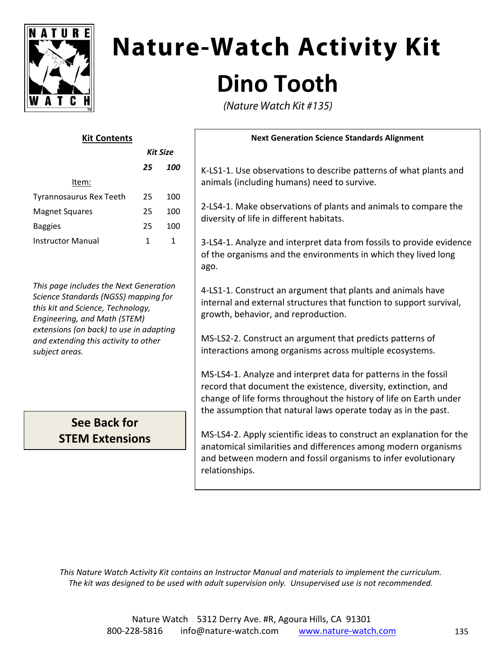

# **Nature-Watch Activity Kit Dino Tooth**

(Nature Watch Kit #135)

| <b>Kit Contents</b>      |                 |              | <b>Next Generation Science Standards Alignment</b>                                                                       |
|--------------------------|-----------------|--------------|--------------------------------------------------------------------------------------------------------------------------|
|                          | <b>Kit Size</b> |              |                                                                                                                          |
|                          | 25              | 100          | K-LS1-1. Use observations to describe patterns of what possible.                                                         |
| Item:                    |                 |              | animals (including humans) need to survive.                                                                              |
| Tyrannosaurus Rex Teeth  | 25              | 100          | 2-LS4-1. Make observations of plants and animals to con<br>diversity of life in different habitats.                      |
| <b>Magnet Squares</b>    | 25              | 100          |                                                                                                                          |
| <b>Baggies</b>           | 25              | 100          |                                                                                                                          |
| <b>Instructor Manual</b> | 1               | $\mathbf{1}$ | 3-LS4-1. Analyze and interpret data from fossils to provious<br>of the organisms and the environments in which they live |

*This page includes the Next Generation Science Standards (NGSS) mapping for this kit and Science, Technology, Engineering, and Math (STEM) extensions (on back) to use in adapting and extending this activity to other subject areas.*

## **See Back for STEM Extensions**

bservations to describe patterns of what plants and ding humans) need to survive.

e observations of plants and animals to compare the e in different habitats.

(ze and interpret data from fossils to provide evidence ims and the environments in which they lived long ago.

4‐LS1‐1. Construct an argument that plants and animals have internal and external structures that function to support survival, growth, behavior, and reproduction.

MS‐LS2‐2. Construct an argument that predicts patterns of interactions among organisms across multiple ecosystems.

MS‐LS4‐1. Analyze and interpret data for patterns in the fossil record that document the existence, diversity, extinction, and change of life forms throughout the history of life on Earth under the assumption that natural laws operate today as in the past.

MS‐LS4‐2. Apply scientific ideas to construct an explanation for the anatomical similarities and differences among modern organisms and between modern and fossil organisms to infer evolutionary relationships.

*This Nature Watch Activity Kit contains an Instructor Manual and materials to implement the curriculum. The kit was designed to be used with adult supervision only. Unsupervised use is not recommended.*